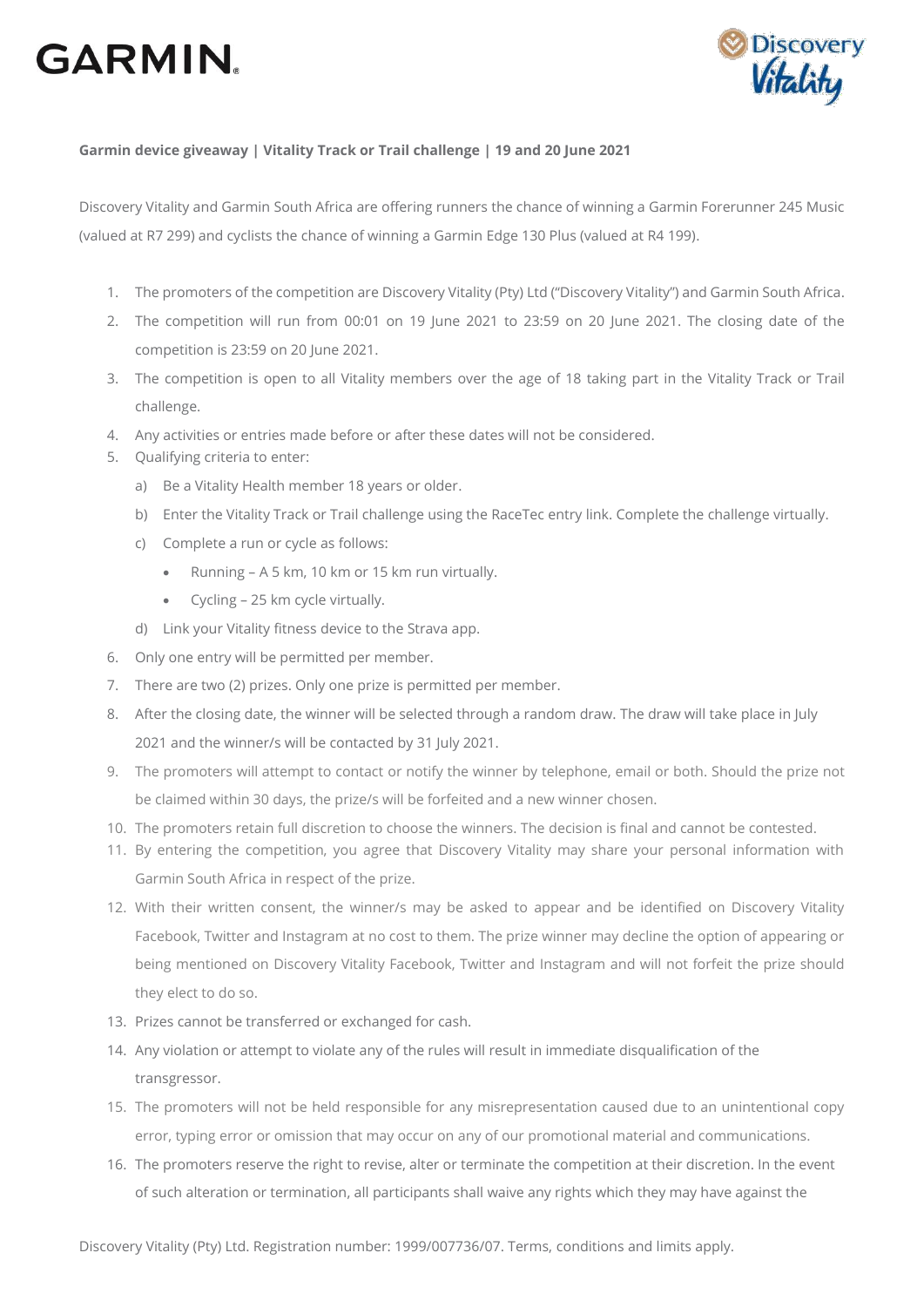## **GARMIN.**



## **Garmin device giveaway | Vitality Track or Trail challenge | 19 and 20 June 2021**

Discovery Vitality and Garmin South Africa are offering runners the chance of winning a Garmin Forerunner 245 Music (valued at R7 299) and cyclists the chance of winning a Garmin Edge 130 Plus (valued at R4 199).

- 1. The promoters of the competition are Discovery Vitality (Pty) Ltd ("Discovery Vitality") and Garmin South Africa.
- 2. The competition will run from 00:01 on 19 June 2021 to 23:59 on 20 June 2021. The closing date of the competition is 23:59 on 20 June 2021.
- 3. The competition is open to all Vitality members over the age of 18 taking part in the Vitality Track or Trail challenge.
- 4. Any activities or entries made before or after these dates will not be considered.
- 5. Qualifying criteria to enter:
	- a) Be a Vitality Health member 18 years or older.
	- b) Enter the Vitality Track or Trail challenge using the RaceTec entry link. Complete the challenge virtually.
	- c) Complete a run or cycle as follows:
		- Running A 5 km, 10 km or 15 km run virtually.
		- Cycling 25 km cycle virtually.
	- d) Link your Vitality fitness device to the Strava app.
- 6. Only one entry will be permitted per member.
- 7. There are two (2) prizes. Only one prize is permitted per member.
- 8. After the closing date, the winner will be selected through a random draw. The draw will take place in July 2021 and the winner/s will be contacted by 31 July 2021.
- 9. The promoters will attempt to contact or notify the winner by telephone, email or both. Should the prize not be claimed within 30 days, the prize/s will be forfeited and a new winner chosen.
- 10. The promoters retain full discretion to choose the winners. The decision is final and cannot be contested.
- 11. By entering the competition, you agree that Discovery Vitality may share your personal information with Garmin South Africa in respect of the prize.
- 12. With their written consent, the winner/s may be asked to appear and be identified on Discovery Vitality Facebook, Twitter and Instagram at no cost to them. The prize winner may decline the option of appearing or being mentioned on Discovery Vitality Facebook, Twitter and Instagram and will not forfeit the prize should they elect to do so.
- 13. Prizes cannot be transferred or exchanged for cash.
- 14. Any violation or attempt to violate any of the rules will result in immediate disqualification of the transgressor.
- 15. The promoters will not be held responsible for any misrepresentation caused due to an unintentional copy error, typing error or omission that may occur on any of our promotional material and communications.
- 16. The promoters reserve the right to revise, alter or terminate the competition at their discretion. In the event of such alteration or termination, all participants shall waive any rights which they may have against the